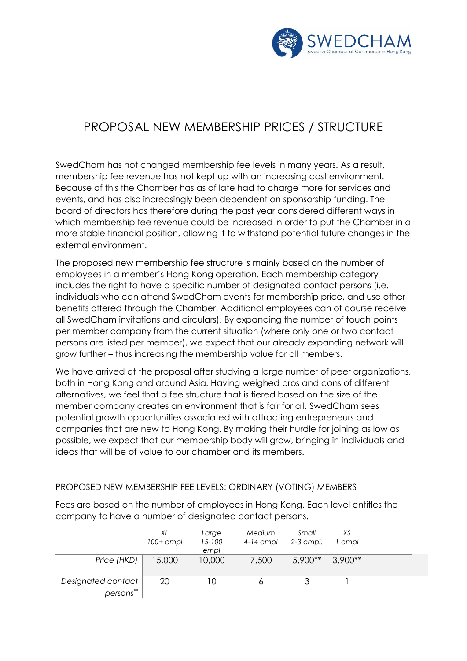

## PROPOSAL NEW MEMBERSHIP PRICES / STRUCTURE

SwedCham has not changed membership fee levels in many years. As a result, membership fee revenue has not kept up with an increasing cost environment. Because of this the Chamber has as of late had to charge more for services and events, and has also increasingly been dependent on sponsorship funding. The board of directors has therefore during the past year considered different ways in which membership fee revenue could be increased in order to put the Chamber in a more stable financial position, allowing it to withstand potential future changes in the external environment.

The proposed new membership fee structure is mainly based on the number of employees in a member's Hong Kong operation. Each membership category includes the right to have a specific number of designated contact persons (i.e. individuals who can attend SwedCham events for membership price, and use other benefits offered through the Chamber. Additional employees can of course receive all SwedCham invitations and circulars). By expanding the number of touch points per member company from the current situation (where only one or two contact persons are listed per member), we expect that our already expanding network will grow further – thus increasing the membership value for all members.

We have arrived at the proposal after studying a large number of peer organizations, both in Hong Kong and around Asia. Having weighed pros and cons of different alternatives, we feel that a fee structure that is tiered based on the size of the member company creates an environment that is fair for all. SwedCham sees potential growth opportunities associated with attracting entrepreneurs and companies that are new to Hong Kong. By making their hurdle for joining as low as possible, we expect that our membership body will grow, bringing in individuals and ideas that will be of value to our chamber and its members.

## PROPOSED NEW MEMBERSHIP FEE LEVELS: ORDINARY (VOTING) MEMBERS

Fees are based on the number of employees in Hong Kong. Each level entitles the company to have a number of designated contact persons.

|                                 | XL<br>$100+$ empl | Large<br>$15 - 100$<br>empl | Medium<br>$4-14$ empl | Small<br>2-3 empl. | XS<br>' empl |  |
|---------------------------------|-------------------|-----------------------------|-----------------------|--------------------|--------------|--|
| Price (HKD)                     | 15,000            | 10,000                      | 7,500                 | $5,900**$          | $3.900**$    |  |
| Designated contact<br>$person*$ | 20                | 10                          |                       |                    |              |  |